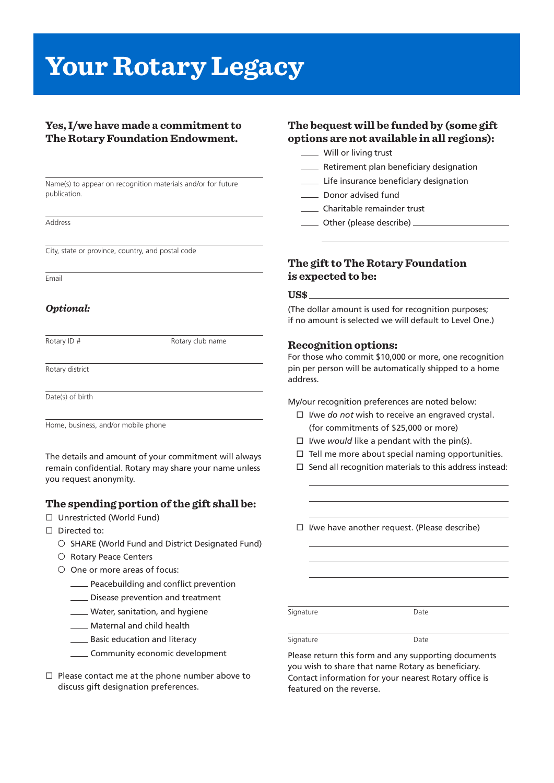# **Your Rotary Legacy**

# **Yes, I/we have made a commitment to The Rotary Foundation Endowment.**

Name(s) to appear on recognition materials and/or for future publication.

Address

City, state or province, country, and postal code

Email

## *Optional:*

Rotary ID # Rotary club name

Rotary district

Date(s) of birth

Home, business, and/or mobile phone

The details and amount of your commitment will always remain confidential. Rotary may share your name unless you request anonymity.

## **The spending portion of the gift shall be:**

- □ Unrestricted (World Fund)
- $\Box$  Directed to:
	- $\circ$  SHARE (World Fund and District Designated Fund)
	- O Rotary Peace Centers
	- O One or more areas of focus:
		- **EXECUTE:** Peacebuilding and conflict prevention
		- **COLOGITA** Disease prevention and treatment
		- Water, sanitation, and hygiene
		- **Maternal and child health**
		- **EXECUTE:** Basic education and literacy
		- \_\_ Community economic development
- $\square$  Please contact me at the phone number above to discuss gift designation preferences.

## **The bequest will be funded by (some gift options are not available in all regions):**

| Will or living trust                    |
|-----------------------------------------|
| Retirement plan beneficiary designation |
| Life insurance beneficiary designation  |
| Donor advised fund                      |
| Charitable remainder trust              |
| Other (please describe)                 |

# **The gift to The Rotary Foundation is expected to be:**

## **US\$**

(The dollar amount is used for recognition purposes; if no amount is selected we will default to Level One.)

## **Recognition options:**

For those who commit \$10,000 or more, one recognition pin per person will be automatically shipped to a home address.

My/our recognition preferences are noted below:

- $\Box$  I/we *do not* wish to receive an engraved crystal. (for commitments of \$25,000 or more)
- $\Box$  I/we *would* like a pendant with the pin(s).
- $\Box$  Tell me more about special naming opportunities.
- $\square$  Send all recognition materials to this address instead:

 $\Box$  I/we have another request. (Please describe)

Signature Date

Signature Date

Please return this form and any supporting documents you wish to share that name Rotary as beneficiary. Contact information for your nearest Rotary office is featured on the reverse.